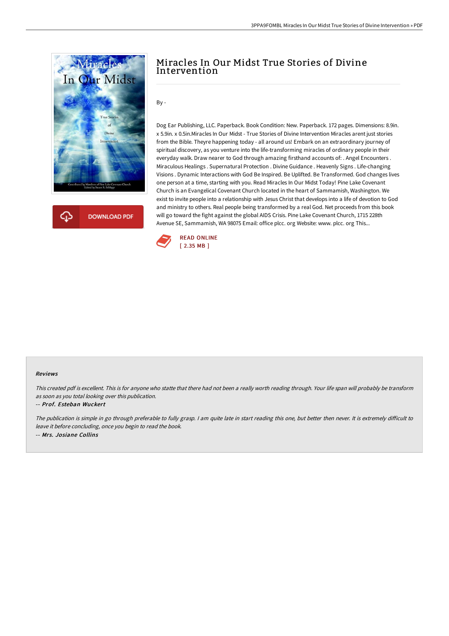

**DOWNLOAD PDF** 

# Miracles In Our Midst True Stories of Divine Intervention

## By -

Dog Ear Publishing, LLC. Paperback. Book Condition: New. Paperback. 172 pages. Dimensions: 8.9in. x 5.9in. x 0.5in.Miracles In Our Midst - True Stories of Divine Intervention Miracles arent just stories from the Bible. Theyre happening today - all around us! Embark on an extraordinary journey of spiritual discovery, as you venture into the life-transforming miracles of ordinary people in their everyday walk. Draw nearer to God through amazing firsthand accounts of: . Angel Encounters . Miraculous Healings . Supernatural Protection . Divine Guidance . Heavenly Signs . Life-changing Visions . Dynamic Interactions with God Be Inspired. Be Uplifted. Be Transformed. God changes lives one person at a time, starting with you. Read Miracles In Our Midst Today! Pine Lake Covenant Church is an Evangelical Covenant Church located in the heart of Sammamish, Washington. We exist to invite people into a relationship with Jesus Christ that develops into a life of devotion to God and ministry to others. Real people being transformed by a real God. Net proceeds from this book will go toward the fight against the global AIDS Crisis. Pine Lake Covenant Church, 1715 228th Avenue SE, Sammamish, WA 98075 Email: office plcc. org Website: www. plcc. org This...



#### Reviews

This created pdf is excellent. This is for anyone who statte that there had not been <sup>a</sup> really worth reading through. Your life span will probably be transform as soon as you total looking over this publication.

### -- Prof. Esteban Wuckert

The publication is simple in go through preferable to fully grasp. I am quite late in start reading this one, but better then never. It is extremely difficult to leave it before concluding, once you begin to read the book. -- Mrs. Josiane Collins